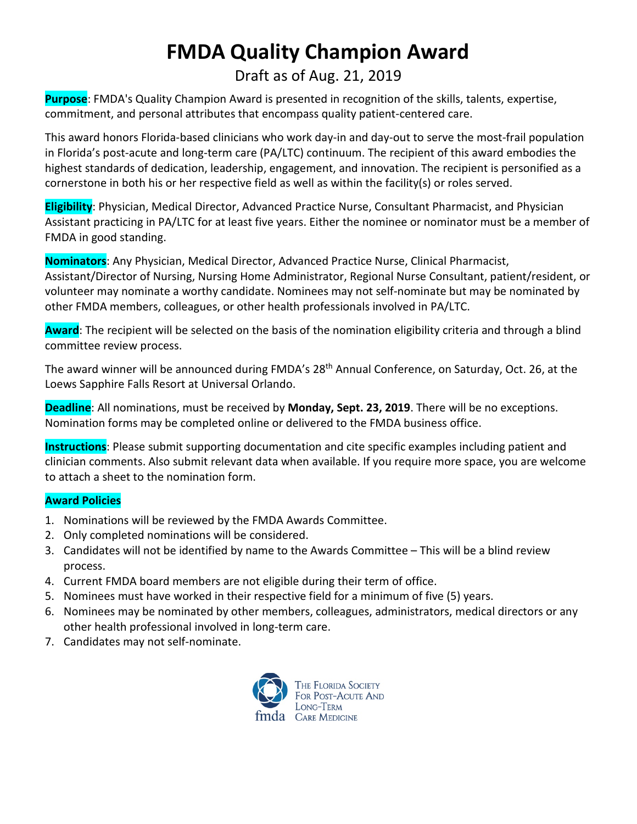## **FMDA Quality Champion Award**

### Draft as of Aug. 21, 2019

**Purpose**: FMDA's Quality Champion Award is presented in recognition of the skills, talents, expertise, commitment, and personal attributes that encompass quality patient-centered care.

This award honors Florida-based clinicians who work day-in and day-out to serve the most-frail population in Florida's post-acute and long-term care (PA/LTC) continuum. The recipient of this award embodies the highest standards of dedication, leadership, engagement, and innovation. The recipient is personified as a cornerstone in both his or her respective field as well as within the facility(s) or roles served.

**Eligibility**: Physician, Medical Director, Advanced Practice Nurse, Consultant Pharmacist, and Physician Assistant practicing in PA/LTC for at least five years. Either the nominee or nominator must be a member of FMDA in good standing.

**Nominators**: Any Physician, Medical Director, Advanced Practice Nurse, Clinical Pharmacist, Assistant/Director of Nursing, Nursing Home Administrator, Regional Nurse Consultant, patient/resident, or volunteer may nominate a worthy candidate. Nominees may not self-nominate but may be nominated by other FMDA members, colleagues, or other health professionals involved in PA/LTC.

**Award**: The recipient will be selected on the basis of the nomination eligibility criteria and through a blind committee review process.

The award winner will be announced during FMDA's 28<sup>th</sup> Annual Conference, on Saturday, Oct. 26, at the Loews Sapphire Falls Resort at Universal Orlando.

**Deadline**: All nominations, must be received by **Monday, Sept. 23, 2019**. There will be no exceptions. Nomination forms may be completed online or delivered to the FMDA business office.

**Instructions**: Please submit supporting documentation and cite specific examples including patient and clinician comments. Also submit relevant data when available. If you require more space, you are welcome to attach a sheet to the nomination form.

#### **Award Policies**

- 1. Nominations will be reviewed by the FMDA Awards Committee.
- 2. Only completed nominations will be considered.
- 3. Candidates will not be identified by name to the Awards Committee This will be a blind review process.
- 4. Current FMDA board members are not eligible during their term of office.
- 5. Nominees must have worked in their respective field for a minimum of five (5) years.
- 6. Nominees may be nominated by other members, colleagues, administrators, medical directors or any other health professional involved in long-term care.
- 7. Candidates may not self-nominate.

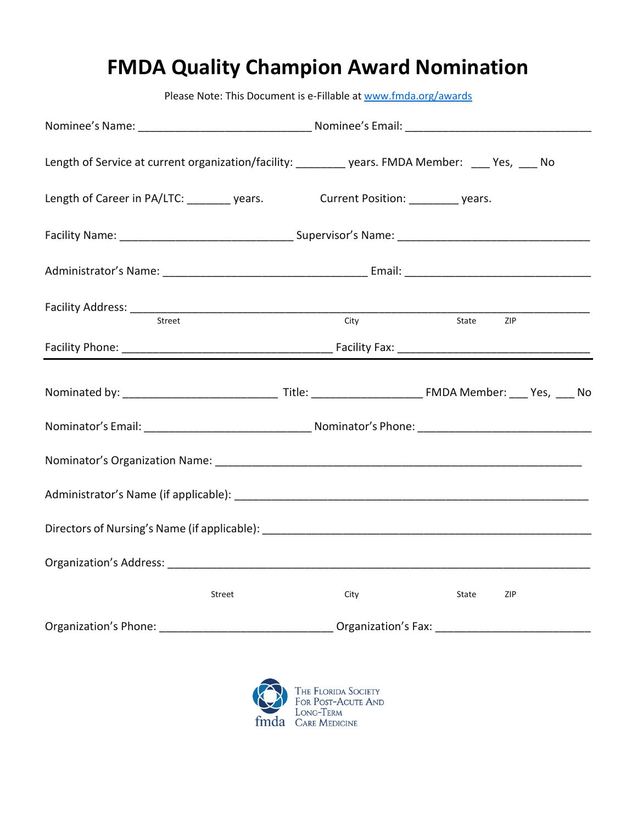# **FMDA Quality Champion Award Nomination**

|                                                                                                               | Please Note: This Document is e-Fillable at www.fmda.org/awards                                                                                                                                                                |           |     |  |
|---------------------------------------------------------------------------------------------------------------|--------------------------------------------------------------------------------------------------------------------------------------------------------------------------------------------------------------------------------|-----------|-----|--|
|                                                                                                               |                                                                                                                                                                                                                                |           |     |  |
| Length of Service at current organization/facility: _________ years. FMDA Member: ___ Yes, ___ No             |                                                                                                                                                                                                                                |           |     |  |
| Length of Career in PA/LTC: ________ years. Current Position: ________ years.                                 |                                                                                                                                                                                                                                |           |     |  |
|                                                                                                               |                                                                                                                                                                                                                                |           |     |  |
|                                                                                                               |                                                                                                                                                                                                                                |           |     |  |
| Street                                                                                                        | City                                                                                                                                                                                                                           | State ZIP |     |  |
|                                                                                                               |                                                                                                                                                                                                                                |           |     |  |
|                                                                                                               |                                                                                                                                                                                                                                |           |     |  |
|                                                                                                               |                                                                                                                                                                                                                                |           |     |  |
|                                                                                                               |                                                                                                                                                                                                                                |           |     |  |
|                                                                                                               |                                                                                                                                                                                                                                |           |     |  |
|                                                                                                               |                                                                                                                                                                                                                                |           |     |  |
| Organization's Address:                                                                                       |                                                                                                                                                                                                                                |           |     |  |
| Street                                                                                                        | City                                                                                                                                                                                                                           | State     | ZIP |  |
| Organization's Phone: 2008 2010 2020 2021 2021 2022 2023 2024 2022 2023 2024 2022 2023 2024 2022 2023 2024 20 | Organization's Fax: The Contract of the Contract of the Contract of the Contract of the Contract of the Contract of the Contract of the Contract of the Contract of the Contract of the Contract of the Contract of the Contra |           |     |  |